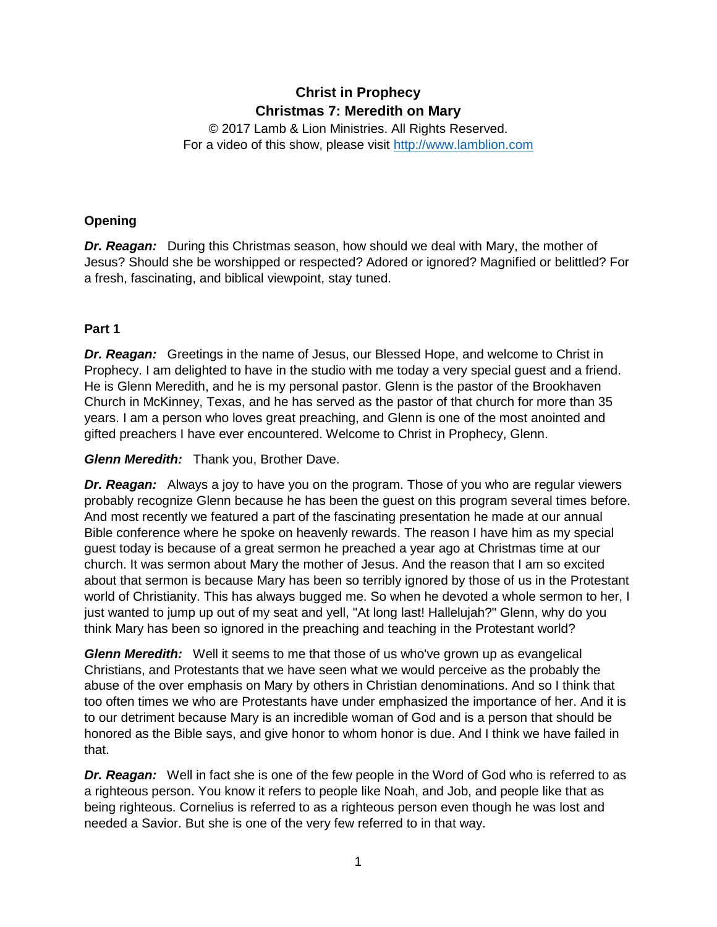# **Christ in Prophecy Christmas 7: Meredith on Mary**

© 2017 Lamb & Lion Ministries. All Rights Reserved. For a video of this show, please visit [http://www.lamblion.com](http://www.lamblion.com/)

# **Opening**

*Dr. Reagan:* During this Christmas season, how should we deal with Mary, the mother of Jesus? Should she be worshipped or respected? Adored or ignored? Magnified or belittled? For a fresh, fascinating, and biblical viewpoint, stay tuned.

# **Part 1**

*Dr. Reagan:* Greetings in the name of Jesus, our Blessed Hope, and welcome to Christ in Prophecy. I am delighted to have in the studio with me today a very special guest and a friend. He is Glenn Meredith, and he is my personal pastor. Glenn is the pastor of the Brookhaven Church in McKinney, Texas, and he has served as the pastor of that church for more than 35 years. I am a person who loves great preaching, and Glenn is one of the most anointed and gifted preachers I have ever encountered. Welcome to Christ in Prophecy, Glenn.

*Glenn Meredith:* Thank you, Brother Dave.

*Dr. Reagan:* Always a joy to have you on the program. Those of you who are regular viewers probably recognize Glenn because he has been the guest on this program several times before. And most recently we featured a part of the fascinating presentation he made at our annual Bible conference where he spoke on heavenly rewards. The reason I have him as my special guest today is because of a great sermon he preached a year ago at Christmas time at our church. It was sermon about Mary the mother of Jesus. And the reason that I am so excited about that sermon is because Mary has been so terribly ignored by those of us in the Protestant world of Christianity. This has always bugged me. So when he devoted a whole sermon to her, I just wanted to jump up out of my seat and yell, "At long last! Hallelujah?" Glenn, why do you think Mary has been so ignored in the preaching and teaching in the Protestant world?

*Glenn Meredith:* Well it seems to me that those of us who've grown up as evangelical Christians, and Protestants that we have seen what we would perceive as the probably the abuse of the over emphasis on Mary by others in Christian denominations. And so I think that too often times we who are Protestants have under emphasized the importance of her. And it is to our detriment because Mary is an incredible woman of God and is a person that should be honored as the Bible says, and give honor to whom honor is due. And I think we have failed in that.

*Dr. Reagan:* Well in fact she is one of the few people in the Word of God who is referred to as a righteous person. You know it refers to people like Noah, and Job, and people like that as being righteous. Cornelius is referred to as a righteous person even though he was lost and needed a Savior. But she is one of the very few referred to in that way.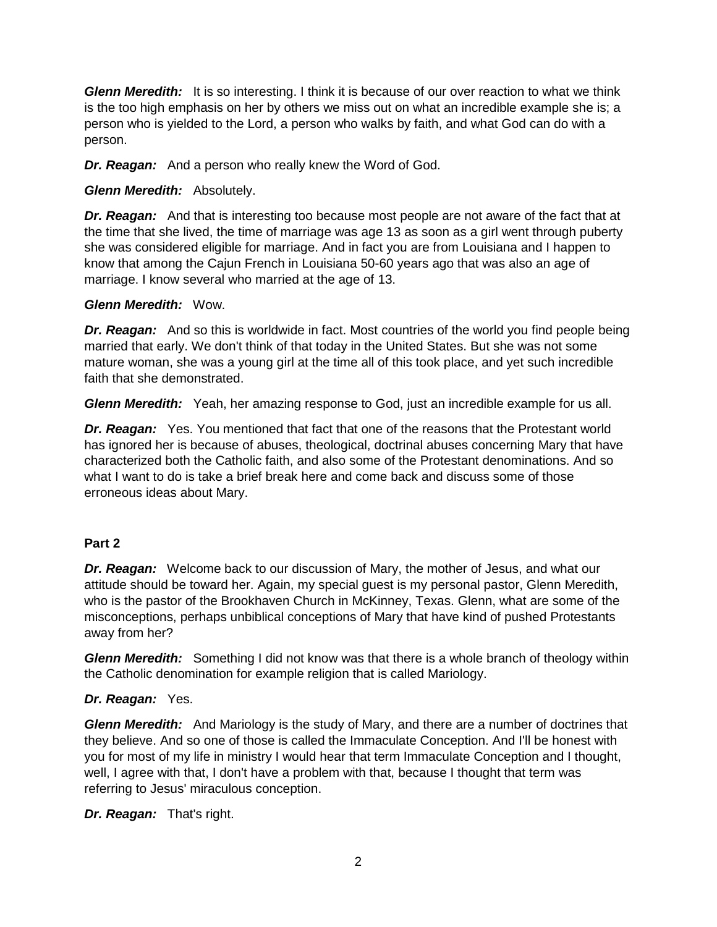*Glenn Meredith:* It is so interesting. I think it is because of our over reaction to what we think is the too high emphasis on her by others we miss out on what an incredible example she is; a person who is yielded to the Lord, a person who walks by faith, and what God can do with a person.

*Dr. Reagan:* And a person who really knew the Word of God.

# *Glenn Meredith:* Absolutely.

*Dr. Reagan:* And that is interesting too because most people are not aware of the fact that at the time that she lived, the time of marriage was age 13 as soon as a girl went through puberty she was considered eligible for marriage. And in fact you are from Louisiana and I happen to know that among the Cajun French in Louisiana 50-60 years ago that was also an age of marriage. I know several who married at the age of 13.

# *Glenn Meredith:* Wow.

*Dr. Reagan:* And so this is worldwide in fact. Most countries of the world you find people being married that early. We don't think of that today in the United States. But she was not some mature woman, she was a young girl at the time all of this took place, and yet such incredible faith that she demonstrated.

*Glenn Meredith:* Yeah, her amazing response to God, just an incredible example for us all.

*Dr. Reagan:* Yes. You mentioned that fact that one of the reasons that the Protestant world has ignored her is because of abuses, theological, doctrinal abuses concerning Mary that have characterized both the Catholic faith, and also some of the Protestant denominations. And so what I want to do is take a brief break here and come back and discuss some of those erroneous ideas about Mary.

# **Part 2**

*Dr. Reagan:* Welcome back to our discussion of Mary, the mother of Jesus, and what our attitude should be toward her. Again, my special guest is my personal pastor, Glenn Meredith, who is the pastor of the Brookhaven Church in McKinney, Texas. Glenn, what are some of the misconceptions, perhaps unbiblical conceptions of Mary that have kind of pushed Protestants away from her?

*Glenn Meredith:* Something I did not know was that there is a whole branch of theology within the Catholic denomination for example religion that is called Mariology.

# *Dr. Reagan:* Yes.

*Glenn Meredith:* And Mariology is the study of Mary, and there are a number of doctrines that they believe. And so one of those is called the Immaculate Conception. And I'll be honest with you for most of my life in ministry I would hear that term Immaculate Conception and I thought, well, I agree with that, I don't have a problem with that, because I thought that term was referring to Jesus' miraculous conception.

*Dr. Reagan:* That's right.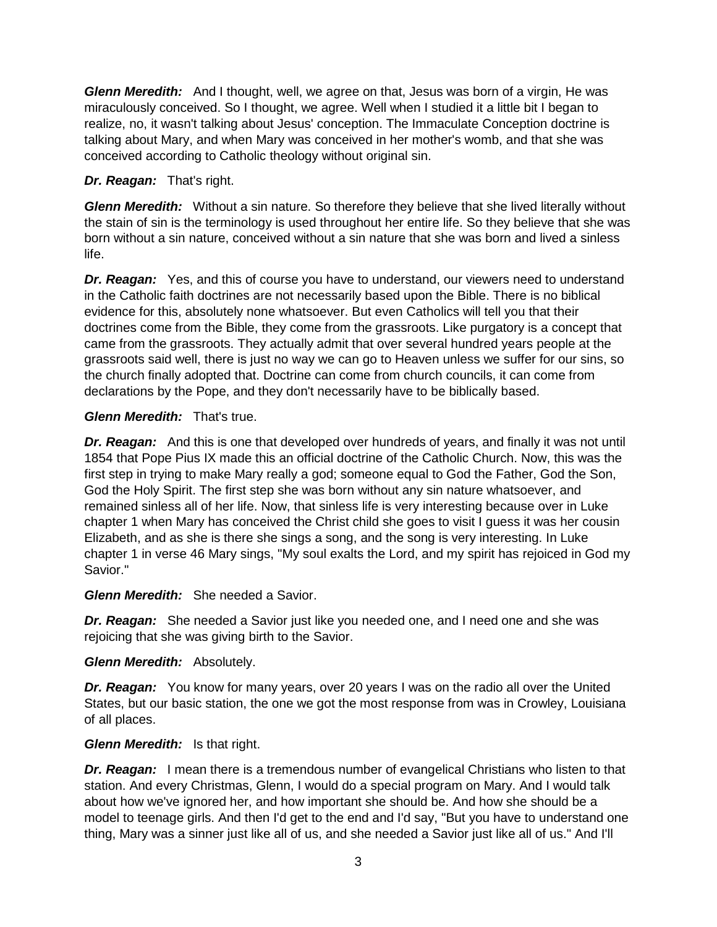*Glenn Meredith:* And I thought, well, we agree on that, Jesus was born of a virgin, He was miraculously conceived. So I thought, we agree. Well when I studied it a little bit I began to realize, no, it wasn't talking about Jesus' conception. The Immaculate Conception doctrine is talking about Mary, and when Mary was conceived in her mother's womb, and that she was conceived according to Catholic theology without original sin.

### *Dr. Reagan:* That's right.

*Glenn Meredith:* Without a sin nature. So therefore they believe that she lived literally without the stain of sin is the terminology is used throughout her entire life. So they believe that she was born without a sin nature, conceived without a sin nature that she was born and lived a sinless life.

*Dr. Reagan:* Yes, and this of course you have to understand, our viewers need to understand in the Catholic faith doctrines are not necessarily based upon the Bible. There is no biblical evidence for this, absolutely none whatsoever. But even Catholics will tell you that their doctrines come from the Bible, they come from the grassroots. Like purgatory is a concept that came from the grassroots. They actually admit that over several hundred years people at the grassroots said well, there is just no way we can go to Heaven unless we suffer for our sins, so the church finally adopted that. Doctrine can come from church councils, it can come from declarations by the Pope, and they don't necessarily have to be biblically based.

### *Glenn Meredith:* That's true.

*Dr. Reagan:* And this is one that developed over hundreds of years, and finally it was not until 1854 that Pope Pius IX made this an official doctrine of the Catholic Church. Now, this was the first step in trying to make Mary really a god; someone equal to God the Father, God the Son, God the Holy Spirit. The first step she was born without any sin nature whatsoever, and remained sinless all of her life. Now, that sinless life is very interesting because over in Luke chapter 1 when Mary has conceived the Christ child she goes to visit I guess it was her cousin Elizabeth, and as she is there she sings a song, and the song is very interesting. In Luke chapter 1 in verse 46 Mary sings, "My soul exalts the Lord, and my spirit has rejoiced in God my Savior."

### *Glenn Meredith:* She needed a Savior.

*Dr. Reagan:* She needed a Savior just like you needed one, and I need one and she was rejoicing that she was giving birth to the Savior.

### *Glenn Meredith:* Absolutely.

*Dr. Reagan:* You know for many years, over 20 years I was on the radio all over the United States, but our basic station, the one we got the most response from was in Crowley, Louisiana of all places.

### *Glenn Meredith:* Is that right.

**Dr. Reagan:** I mean there is a tremendous number of evangelical Christians who listen to that station. And every Christmas, Glenn, I would do a special program on Mary. And I would talk about how we've ignored her, and how important she should be. And how she should be a model to teenage girls. And then I'd get to the end and I'd say, "But you have to understand one thing, Mary was a sinner just like all of us, and she needed a Savior just like all of us." And I'll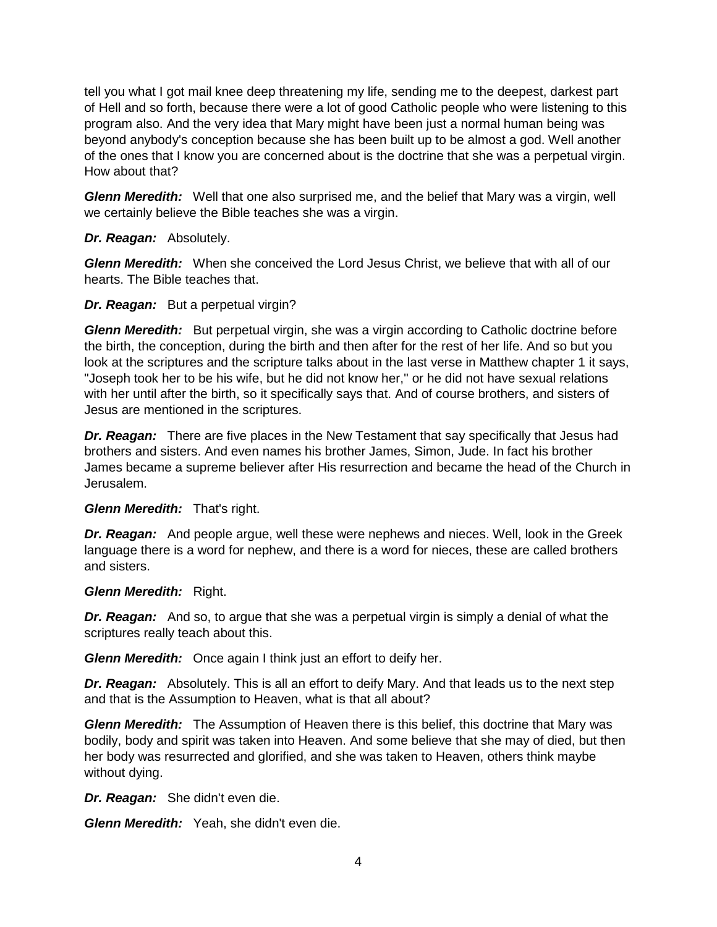tell you what I got mail knee deep threatening my life, sending me to the deepest, darkest part of Hell and so forth, because there were a lot of good Catholic people who were listening to this program also. And the very idea that Mary might have been just a normal human being was beyond anybody's conception because she has been built up to be almost a god. Well another of the ones that I know you are concerned about is the doctrine that she was a perpetual virgin. How about that?

*Glenn Meredith:* Well that one also surprised me, and the belief that Mary was a virgin, well we certainly believe the Bible teaches she was a virgin.

#### *Dr. Reagan:* Absolutely.

*Glenn Meredith:* When she conceived the Lord Jesus Christ, we believe that with all of our hearts. The Bible teaches that.

#### *Dr. Reagan:* But a perpetual virgin?

*Glenn Meredith:* But perpetual virgin, she was a virgin according to Catholic doctrine before the birth, the conception, during the birth and then after for the rest of her life. And so but you look at the scriptures and the scripture talks about in the last verse in Matthew chapter 1 it says, "Joseph took her to be his wife, but he did not know her," or he did not have sexual relations with her until after the birth, so it specifically says that. And of course brothers, and sisters of Jesus are mentioned in the scriptures.

*Dr. Reagan:* There are five places in the New Testament that say specifically that Jesus had brothers and sisters. And even names his brother James, Simon, Jude. In fact his brother James became a supreme believer after His resurrection and became the head of the Church in Jerusalem.

### *Glenn Meredith:* That's right.

*Dr. Reagan:* And people argue, well these were nephews and nieces. Well, look in the Greek language there is a word for nephew, and there is a word for nieces, these are called brothers and sisters.

#### *Glenn Meredith:* Right.

*Dr. Reagan:* And so, to argue that she was a perpetual virgin is simply a denial of what the scriptures really teach about this.

*Glenn Meredith:* Once again I think just an effort to deify her.

*Dr. Reagan:* Absolutely. This is all an effort to deify Mary. And that leads us to the next step and that is the Assumption to Heaven, what is that all about?

*Glenn Meredith:* The Assumption of Heaven there is this belief, this doctrine that Mary was bodily, body and spirit was taken into Heaven. And some believe that she may of died, but then her body was resurrected and glorified, and she was taken to Heaven, others think maybe without dying.

*Dr. Reagan:* She didn't even die.

*Glenn Meredith:* Yeah, she didn't even die.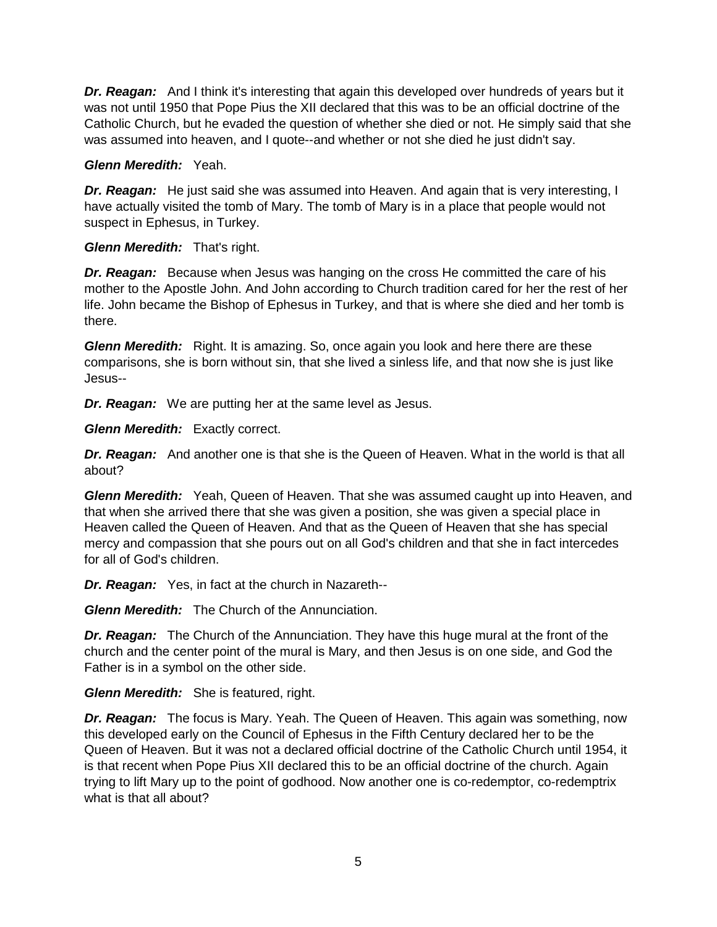*Dr. Reagan:* And I think it's interesting that again this developed over hundreds of years but it was not until 1950 that Pope Pius the XII declared that this was to be an official doctrine of the Catholic Church, but he evaded the question of whether she died or not. He simply said that she was assumed into heaven, and I quote--and whether or not she died he just didn't say.

### *Glenn Meredith:* Yeah.

*Dr. Reagan:* He just said she was assumed into Heaven. And again that is very interesting, I have actually visited the tomb of Mary. The tomb of Mary is in a place that people would not suspect in Ephesus, in Turkey.

# *Glenn Meredith:* That's right.

*Dr. Reagan:* Because when Jesus was hanging on the cross He committed the care of his mother to the Apostle John. And John according to Church tradition cared for her the rest of her life. John became the Bishop of Ephesus in Turkey, and that is where she died and her tomb is there.

**Glenn Meredith:** Right. It is amazing. So, once again you look and here there are these comparisons, she is born without sin, that she lived a sinless life, and that now she is just like Jesus--

*Dr. Reagan:* We are putting her at the same level as Jesus.

*Glenn Meredith:* Exactly correct.

*Dr. Reagan:* And another one is that she is the Queen of Heaven. What in the world is that all about?

*Glenn Meredith:* Yeah, Queen of Heaven. That she was assumed caught up into Heaven, and that when she arrived there that she was given a position, she was given a special place in Heaven called the Queen of Heaven. And that as the Queen of Heaven that she has special mercy and compassion that she pours out on all God's children and that she in fact intercedes for all of God's children.

*Dr. Reagan:* Yes, in fact at the church in Nazareth--

*Glenn Meredith:* The Church of the Annunciation.

*Dr. Reagan:* The Church of the Annunciation. They have this huge mural at the front of the church and the center point of the mural is Mary, and then Jesus is on one side, and God the Father is in a symbol on the other side.

*Glenn Meredith:* She is featured, right.

*Dr. Reagan:* The focus is Mary. Yeah. The Queen of Heaven. This again was something, now this developed early on the Council of Ephesus in the Fifth Century declared her to be the Queen of Heaven. But it was not a declared official doctrine of the Catholic Church until 1954, it is that recent when Pope Pius XII declared this to be an official doctrine of the church. Again trying to lift Mary up to the point of godhood. Now another one is co-redemptor, co-redemptrix what is that all about?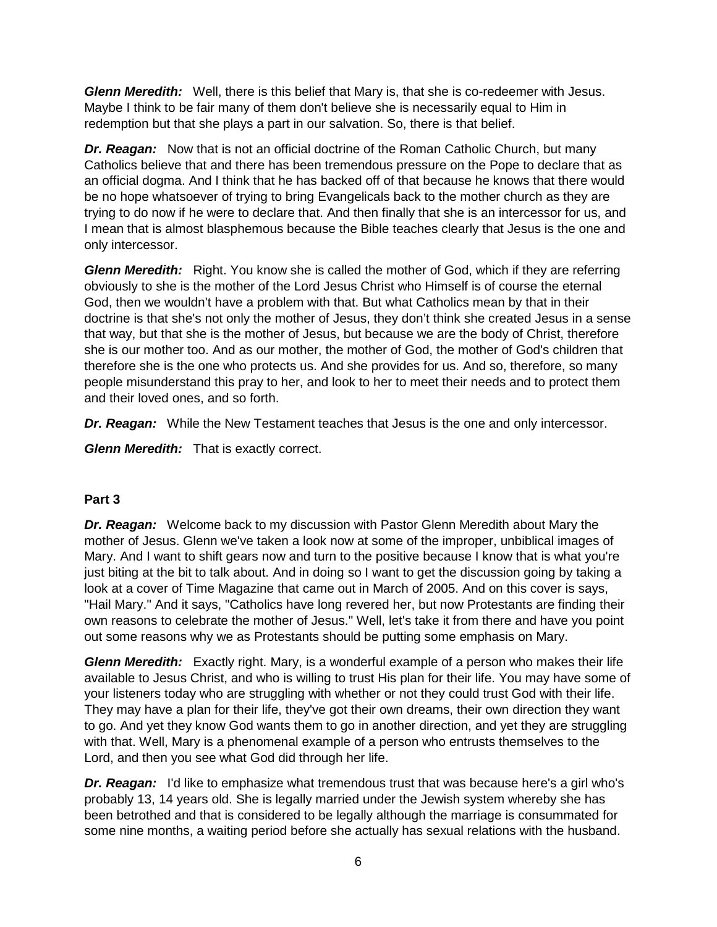*Glenn Meredith:* Well, there is this belief that Mary is, that she is co-redeemer with Jesus. Maybe I think to be fair many of them don't believe she is necessarily equal to Him in redemption but that she plays a part in our salvation. So, there is that belief.

*Dr. Reagan:* Now that is not an official doctrine of the Roman Catholic Church, but many Catholics believe that and there has been tremendous pressure on the Pope to declare that as an official dogma. And I think that he has backed off of that because he knows that there would be no hope whatsoever of trying to bring Evangelicals back to the mother church as they are trying to do now if he were to declare that. And then finally that she is an intercessor for us, and I mean that is almost blasphemous because the Bible teaches clearly that Jesus is the one and only intercessor.

**Glenn Meredith:** Right. You know she is called the mother of God, which if they are referring obviously to she is the mother of the Lord Jesus Christ who Himself is of course the eternal God, then we wouldn't have a problem with that. But what Catholics mean by that in their doctrine is that she's not only the mother of Jesus, they don't think she created Jesus in a sense that way, but that she is the mother of Jesus, but because we are the body of Christ, therefore she is our mother too. And as our mother, the mother of God, the mother of God's children that therefore she is the one who protects us. And she provides for us. And so, therefore, so many people misunderstand this pray to her, and look to her to meet their needs and to protect them and their loved ones, and so forth.

*Dr. Reagan:* While the New Testament teaches that Jesus is the one and only intercessor.

*Glenn Meredith:* That is exactly correct.

# **Part 3**

*Dr. Reagan:* Welcome back to my discussion with Pastor Glenn Meredith about Mary the mother of Jesus. Glenn we've taken a look now at some of the improper, unbiblical images of Mary. And I want to shift gears now and turn to the positive because I know that is what you're just biting at the bit to talk about. And in doing so I want to get the discussion going by taking a look at a cover of Time Magazine that came out in March of 2005. And on this cover is says, "Hail Mary." And it says, "Catholics have long revered her, but now Protestants are finding their own reasons to celebrate the mother of Jesus." Well, let's take it from there and have you point out some reasons why we as Protestants should be putting some emphasis on Mary.

*Glenn Meredith:* Exactly right. Mary, is a wonderful example of a person who makes their life available to Jesus Christ, and who is willing to trust His plan for their life. You may have some of your listeners today who are struggling with whether or not they could trust God with their life. They may have a plan for their life, they've got their own dreams, their own direction they want to go. And yet they know God wants them to go in another direction, and yet they are struggling with that. Well, Mary is a phenomenal example of a person who entrusts themselves to the Lord, and then you see what God did through her life.

*Dr. Reagan:* I'd like to emphasize what tremendous trust that was because here's a girl who's probably 13, 14 years old. She is legally married under the Jewish system whereby she has been betrothed and that is considered to be legally although the marriage is consummated for some nine months, a waiting period before she actually has sexual relations with the husband.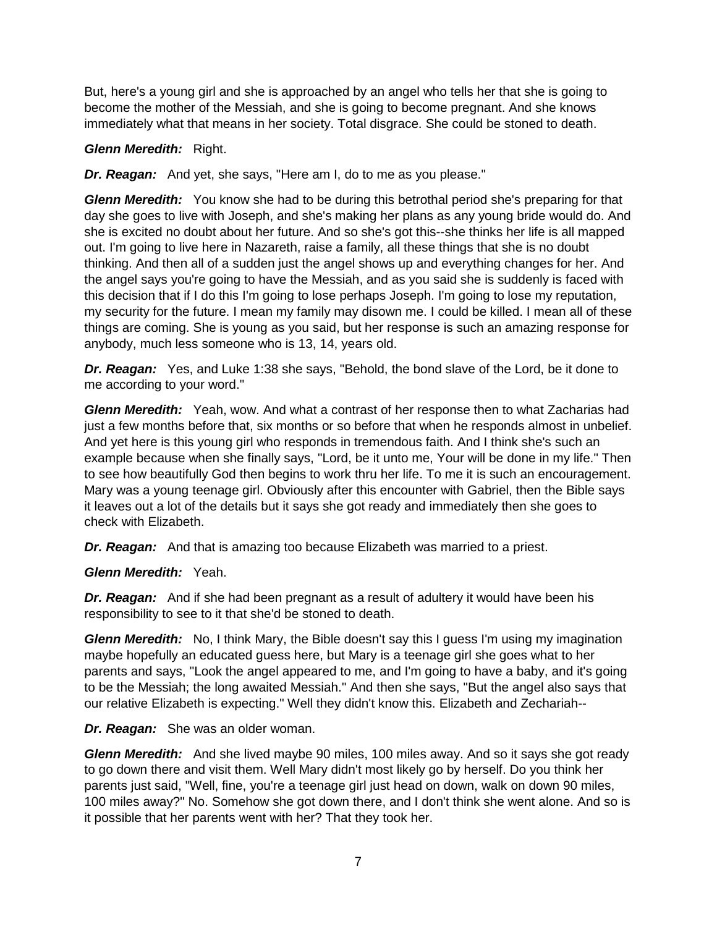But, here's a young girl and she is approached by an angel who tells her that she is going to become the mother of the Messiah, and she is going to become pregnant. And she knows immediately what that means in her society. Total disgrace. She could be stoned to death.

### *Glenn Meredith:* Right.

*Dr. Reagan:* And yet, she says, "Here am I, do to me as you please."

*Glenn Meredith:* You know she had to be during this betrothal period she's preparing for that day she goes to live with Joseph, and she's making her plans as any young bride would do. And she is excited no doubt about her future. And so she's got this--she thinks her life is all mapped out. I'm going to live here in Nazareth, raise a family, all these things that she is no doubt thinking. And then all of a sudden just the angel shows up and everything changes for her. And the angel says you're going to have the Messiah, and as you said she is suddenly is faced with this decision that if I do this I'm going to lose perhaps Joseph. I'm going to lose my reputation, my security for the future. I mean my family may disown me. I could be killed. I mean all of these things are coming. She is young as you said, but her response is such an amazing response for anybody, much less someone who is 13, 14, years old.

*Dr. Reagan:* Yes, and Luke 1:38 she says, "Behold, the bond slave of the Lord, be it done to me according to your word."

*Glenn Meredith:* Yeah, wow. And what a contrast of her response then to what Zacharias had just a few months before that, six months or so before that when he responds almost in unbelief. And yet here is this young girl who responds in tremendous faith. And I think she's such an example because when she finally says, "Lord, be it unto me, Your will be done in my life." Then to see how beautifully God then begins to work thru her life. To me it is such an encouragement. Mary was a young teenage girl. Obviously after this encounter with Gabriel, then the Bible says it leaves out a lot of the details but it says she got ready and immediately then she goes to check with Elizabeth.

*Dr. Reagan:* And that is amazing too because Elizabeth was married to a priest.

*Glenn Meredith:* Yeah.

*Dr. Reagan:* And if she had been pregnant as a result of adultery it would have been his responsibility to see to it that she'd be stoned to death.

*Glenn Meredith:* No, I think Mary, the Bible doesn't say this I guess I'm using my imagination maybe hopefully an educated guess here, but Mary is a teenage girl she goes what to her parents and says, "Look the angel appeared to me, and I'm going to have a baby, and it's going to be the Messiah; the long awaited Messiah." And then she says, "But the angel also says that our relative Elizabeth is expecting." Well they didn't know this. Elizabeth and Zechariah--

### *Dr. Reagan:* She was an older woman.

*Glenn Meredith:* And she lived maybe 90 miles, 100 miles away. And so it says she got ready to go down there and visit them. Well Mary didn't most likely go by herself. Do you think her parents just said, "Well, fine, you're a teenage girl just head on down, walk on down 90 miles, 100 miles away?" No. Somehow she got down there, and I don't think she went alone. And so is it possible that her parents went with her? That they took her.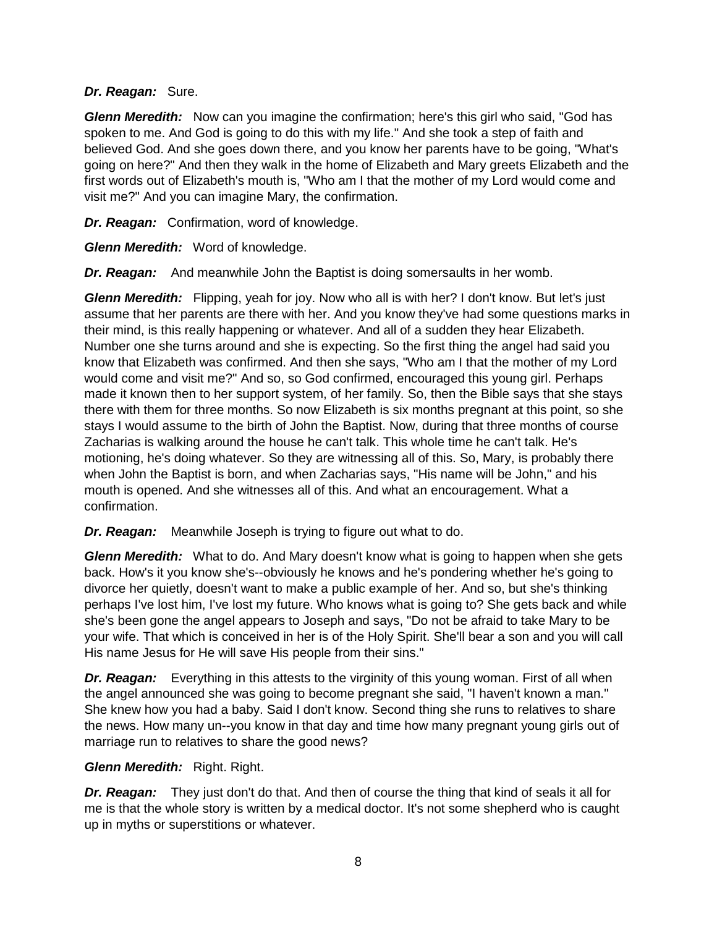### *Dr. Reagan:* Sure.

*Glenn Meredith:* Now can you imagine the confirmation; here's this girl who said, "God has spoken to me. And God is going to do this with my life." And she took a step of faith and believed God. And she goes down there, and you know her parents have to be going, "What's going on here?" And then they walk in the home of Elizabeth and Mary greets Elizabeth and the first words out of Elizabeth's mouth is, "Who am I that the mother of my Lord would come and visit me?" And you can imagine Mary, the confirmation.

*Dr. Reagan:* Confirmation, word of knowledge.

*Glenn Meredith:* Word of knowledge.

*Dr. Reagan:* And meanwhile John the Baptist is doing somersaults in her womb.

*Glenn Meredith:* Flipping, yeah for joy. Now who all is with her? I don't know. But let's just assume that her parents are there with her. And you know they've had some questions marks in their mind, is this really happening or whatever. And all of a sudden they hear Elizabeth. Number one she turns around and she is expecting. So the first thing the angel had said you know that Elizabeth was confirmed. And then she says, "Who am I that the mother of my Lord would come and visit me?" And so, so God confirmed, encouraged this young girl. Perhaps made it known then to her support system, of her family. So, then the Bible says that she stays there with them for three months. So now Elizabeth is six months pregnant at this point, so she stays I would assume to the birth of John the Baptist. Now, during that three months of course Zacharias is walking around the house he can't talk. This whole time he can't talk. He's motioning, he's doing whatever. So they are witnessing all of this. So, Mary, is probably there when John the Baptist is born, and when Zacharias says, "His name will be John," and his mouth is opened. And she witnesses all of this. And what an encouragement. What a confirmation.

**Dr. Reagan:** Meanwhile Joseph is trying to figure out what to do.

*Glenn Meredith:* What to do. And Mary doesn't know what is going to happen when she gets back. How's it you know she's--obviously he knows and he's pondering whether he's going to divorce her quietly, doesn't want to make a public example of her. And so, but she's thinking perhaps I've lost him, I've lost my future. Who knows what is going to? She gets back and while she's been gone the angel appears to Joseph and says, "Do not be afraid to take Mary to be your wife. That which is conceived in her is of the Holy Spirit. She'll bear a son and you will call His name Jesus for He will save His people from their sins."

*Dr. Reagan:* Everything in this attests to the virginity of this young woman. First of all when the angel announced she was going to become pregnant she said, "I haven't known a man." She knew how you had a baby. Said I don't know. Second thing she runs to relatives to share the news. How many un--you know in that day and time how many pregnant young girls out of marriage run to relatives to share the good news?

# *Glenn Meredith:* Right. Right.

*Dr. Reagan:* They just don't do that. And then of course the thing that kind of seals it all for me is that the whole story is written by a medical doctor. It's not some shepherd who is caught up in myths or superstitions or whatever.